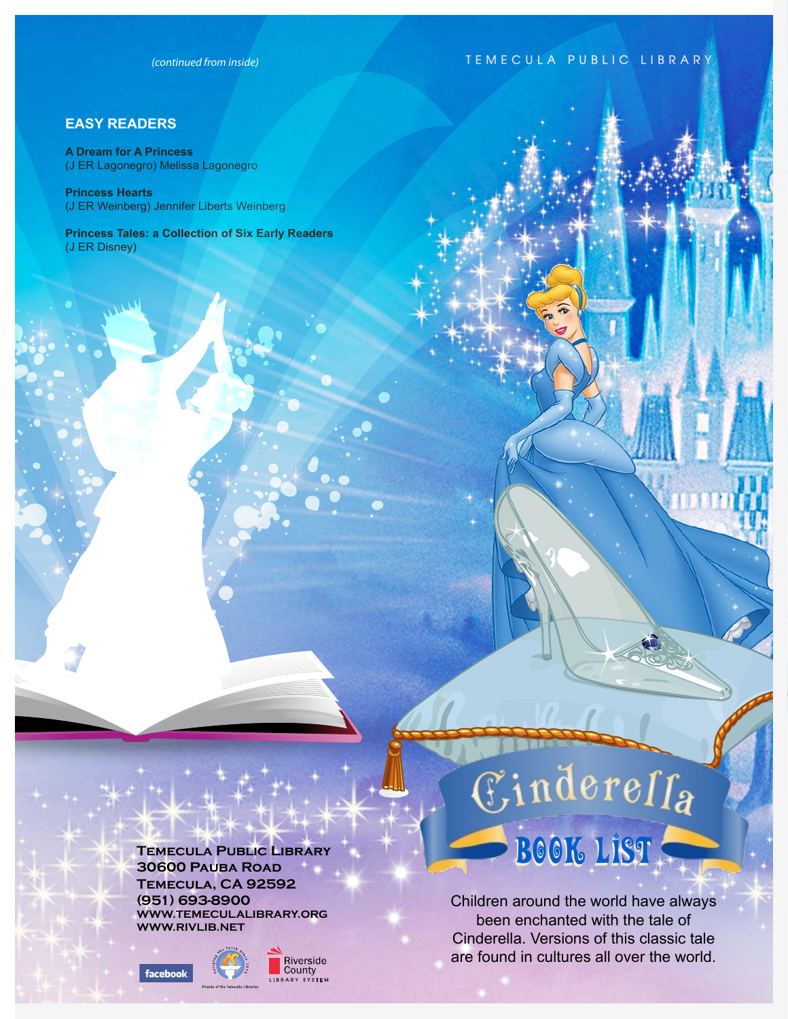*(continued from inside)*

## **TEMECULA PUBLIC LIBRARY**

### **EASY READERS**

**A Dream for A Princess** (J ER Lagonegro) Melissa Lagonegro

**Princess Hearts** (J ER Weinberg) Jennifer Liberts Weinberg

**Princess Tales: a Collection of Six Early Readers** (J ER Disney)

> **Temecula Public Library 30600 Pauba Road Temecula, CA 92592 (951) 693-8900 WWW.TEMECULALIBRARY.ORG WWW.RIVLIB.NET**





# $\mathbb{E}% \left\{ \left. \mathcal{I}\right\} \right\} =\mathbb{E}[\mathcal{I}]$ BOOK LIST

Children around the world have always been enchanted with the tale of Cinderella. Versions of this classic tale are found in cultures all over the world.